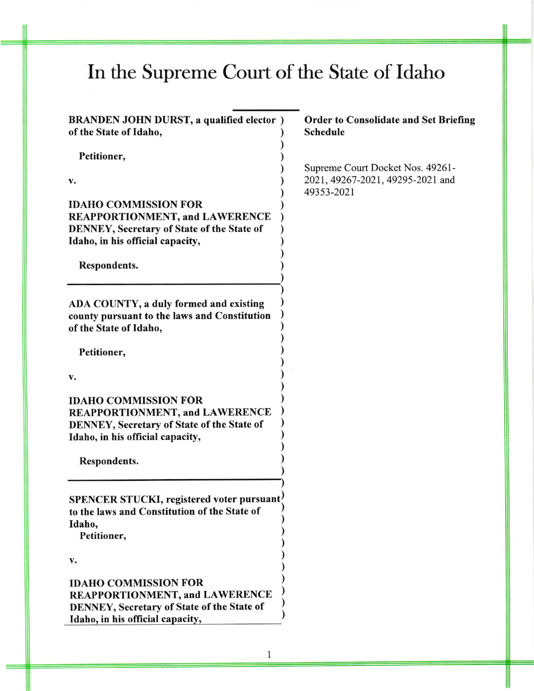## In the Supreme Court of the State of Idaho

) ) ) ) ) ) ) ) ) ) ) )

> ) ) ) ) ) ) ) ) ) ) ) ) ) ) )

)

) ) ) ) ) ) ) ) ) )

BRANDEN JOHN DURST, a qualified elector ) of the State of ldaho,

Petitioner,

v.

IDAHO COMMISSION FOR REAPPORTIONMENT, and LAWERENCE DENNEY, Secretary of State of the State of Idaho, in his official capacity,

Respondents.

ADA COUNTY, a duly formed and existing county pursuant to the laws and Constitution of the State of Idaho,

Petitioner,

 $\mathbf{v}$ .

**IDAHO COMMISSION FOR** REAPPORTIONMENT, and LAWERENCE DENNEY, Secretary of State of the State of Idaho, in his official capacity,

Respondents.

SPENCER STUCKI, registered voter pursuant. to the laws and Constitution of the State of Idaho,

Petitioner,

v.

## IDAHO COMMISSION FOR REAPPORTIONMENT, and LAWERENCE DENNEY, Secretary of State of the State of Idaho, in his official capacity,

## Order to Consolidate and Set Briefing Schedule

Supreme Court Docket Nos. 49261- 2021, 49267-2021, 49295-2021 and 49353-202r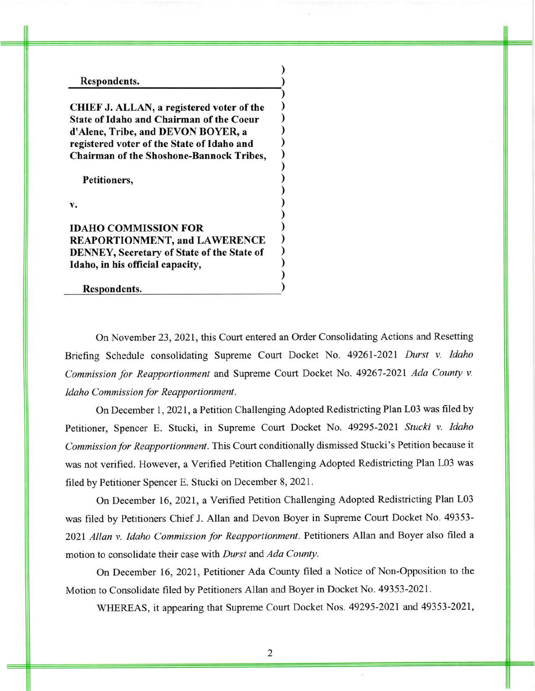## Respondents. )

CHIEF J. ALLAN, a registered voter of the State of Idaho and Chairman of the Coeur d'Alene, Tribe, and DEVON BOYER, a registered voter of the State of Idaho and Chairman of the Shoshone-Bannock Tribes,

Petitioners,

v.

IDAHO COMMISSION FOR REAPORTIONMENT, and LAWERENCE DENNEY, Secretary of State of the State of Idaho, in his official capacity,

Respondents.

On November 23,2021, this Court entered an Order Consolidating Actions and Resetting Briefing Schedule consolidating Supreme Court Docket No. 49261-2021 Durst v. Idaho Commission for Reapportionment and Supreme Court Docket No. 49267-2021 Ada County v. Idaho Commission for Reapportionment.

)

) ) ) ) ) ) ) ) ) ) ) ) ) ) ) ) )

On December 1,2021, a Petition Challenging Adopted Redistricting Plan L03 was filed by Petitioner, Spencer E. Stucki, in Supreme Court Docket No. 49295-2021 Stucki v. Idaho Commission for Reapportionment. This Court conditionally dismissed Stucki's Petition because it was not verified. However, a Verified Petition Challenging Adopted Redistricting Plan L03 was filed by Petitioner Spencer E. Stucki on December 8,202I.

On December 16, 2021, a Verified Petition Challenging Adopted Redistricting Plan L03 was filed by Petitioners Chief J. Allan and Devon Boyer in Supreme Court Docket No. 49353- 2021 Allan v. Idaho Commission for Reapportionment. Petitioners Allan and Boyer also filed a motion to consolidate their case with Durst and Ada County.

On December 16, 2021, Petitioner Ada County filed a Notice of Non-Opposition to the Motion to Consolidate filed by Petitioners Allan and Boyer in Docket No. 49353-202I.

WHEREAS, it appearing that Supreme Court Docket Nos. 49295-2021 and 49353-2021,